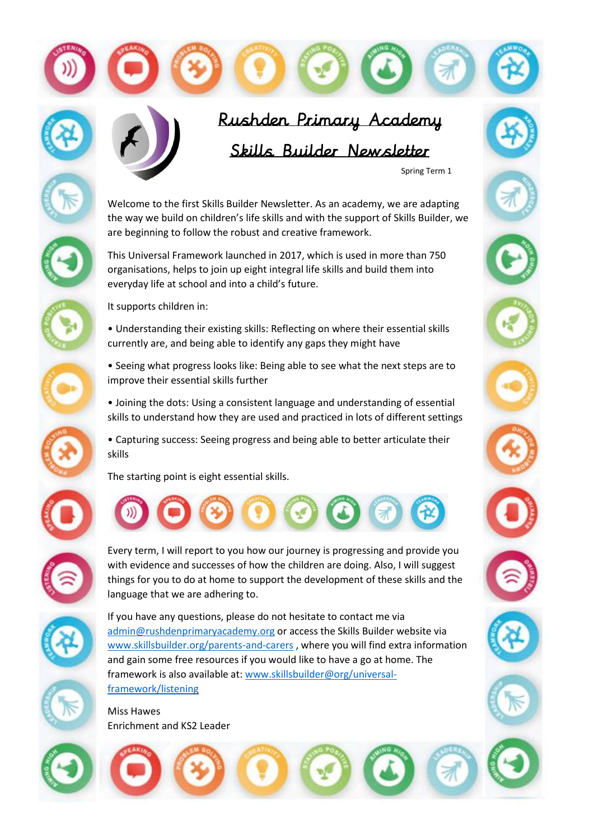



Spring Term 1

Welcome to the first Skills Builder Newsletter. As an academy, we are adapting the way we build on children's life skills and with the support of Skills Builder, we are beginning to follow the robust and creative framework.

This Universal Framework launched in 2017, which is used in more than 750 organisations, helps to join up eight integral life skills and build them into everyday life at school and into a child's future.



It supports children in:

- Understanding their existing skills: Reflecting on where their essential skills currently are, and being able to identify any gaps they might have
- Seeing what progress looks like: Being able to see what the next steps are to improve their essential skills further
- Joining the dots: Using a consistent language and understanding of essential skills to understand how they are used and practiced in lots of different settings
- Capturing success: Seeing progress and being able to better articulate their skills

The starting point is eight essential skills.



Every term, I will report to you how our journey is progressing and provide you with evidence and successes of how the children are doing. Also, I will suggest things for you to do at home to support the development of these skills and the language that we are adhering to.



If you have any questions, please do not hesitate to contact me via [admin@rushdenprimaryacademy.org](mailto:admin@rushdenprimaryacademy.org) or access the Skills Builder website via [www.skillsbuilder.org/parents-and-carers](http://www.skillsbuilder.org/parents-and-carers) , where you will find extra information and gain some free resources if you would like to have a go at home. The framework is also available at: [www.skillsbuilder@org/universal](http://www.skillsbuilder@org/universal-framework/listening)[framework/listening](http://www.skillsbuilder@org/universal-framework/listening)

Miss Hawes Enrichment and KS2 Leader